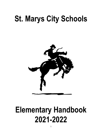# **St. Marys City Schools**



# **Elementary Handbook 2021-2022**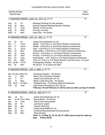## CALENDAR FOR 2021-2022 SCHOOL YEAR

| <b>Grading Periods</b><br><b>Special Days</b><br>1st GRADING PERIOD - AUG. 18 - OCT. 15 (K-12) |                |                         |                                                                                              |    |
|------------------------------------------------------------------------------------------------|----------------|-------------------------|----------------------------------------------------------------------------------------------|----|
|                                                                                                |                |                         |                                                                                              |    |
| Aug.                                                                                           | 16             | Mon.                    | General Teachers Meeting/Teacher Workday                                                     |    |
| Aug.                                                                                           | 17             | Tues.                   | <b>Teacher In Service Day</b>                                                                |    |
| Aug.                                                                                           | 18             | Wed.                    | First day of school                                                                          |    |
| Sept.                                                                                          | 6              | Mon.                    | Labor Day - No School                                                                        |    |
|                                                                                                |                |                         | 2nd GRADING PERIOD - OCT. 18 - DEC. 17 (K-12)                                                | 42 |
| Oct.                                                                                           | 22             | Fri.                    | Grade Card Distribution (K-12)                                                               |    |
| Nov.                                                                                           | 4              | Thurs.                  | Middle - 4:20-8:00 p.m. 6-8 Parent-Teacher Conferences                                       |    |
| Nov.                                                                                           | 11             | Thurs.                  | Middle - 4:20-8:00 p.m. 6-8 Parent-Teacher Conferences                                       |    |
| Nov.                                                                                           | 11             | Thurs.                  | High - 4:20-8:00 p.m. 9-12 Parent-Teacher Conferences                                        |    |
| Nov.                                                                                           | 15             | Mon.                    | Intermediate - 4:20-8:00 p.m. K-2 Parent-Teacher Conferences                                 |    |
| Nov.                                                                                           | 16             | Tues.                   | Primary - 4:20-8:00 p.m. 3-5 Parent-Teacher Conferences                                      |    |
| Nov.                                                                                           | 22             | Mon.                    | Primary - 4:20-8:00 p.m. 3-5 Parent-Teacher Conferences                                      |    |
| Nov.                                                                                           | 23             | Tues.                   | Intermediate - 4:20 - 8:00 p.m. K-2 Parent-Teacher Conferences                               |    |
| Nov.                                                                                           | 24             | Wed.                    | 8:00 a.m.-3:30 p.m. K-5 Parent-Teacher Conf./No School - K-5 pupils                          |    |
|                                                                                                | Nov. 25-26     | Th./Fri                 | Thanksgiving Vacation - No School                                                            |    |
| Nov.                                                                                           | 29             | Mon.                    | No School - K-12 pupils and staff                                                            |    |
|                                                                                                |                |                         | <u>3<sup>rd</sup> GRADING PERIOD – JAN. 3 - MAR. 11 (</u> K-12)                              | 47 |
|                                                                                                |                | Dec. 20-Jan.2 Mon./Fri. | Christmas Vacation - No School                                                               |    |
| Jan.                                                                                           | 3              | Mon.                    | <b>Return from Christmas Vacation</b>                                                        |    |
| Jan.                                                                                           | $\overline{7}$ | Fri.                    | Grade Card Distribution (K-12)                                                               |    |
| Jan.                                                                                           | 17             | Mon.                    | Martin Luther King Day - No School                                                           |    |
|                                                                                                | Feb. 18-21     | Fri./Mon.               | Presidents Day - No School (Staff and Students)                                              |    |
| Feb.                                                                                           | 22             | Tues.                   | High School Scheduling 4:30-7:30 p.m.                                                        |    |
|                                                                                                |                |                         | *February 18 and February 21 will be used as make up days if needed                          |    |
|                                                                                                |                |                         | 4 <sup>th</sup> GRADING PERIOD - MAR.14 - MAY 20 (K-12)                                      | 47 |
| Mar.                                                                                           | 18             | Fri.                    | Grade Card Distribution (K-12)                                                               |    |
| Apr.                                                                                           |                | 14-18 Thurs.-Mon.       | Spring Break - No School                                                                     |    |
| Apr.                                                                                           | 19             | Tues.                   | Return from Spring Break                                                                     |    |
| May                                                                                            | 20             | Fri.                    | Last day for pupils                                                                          |    |
| May                                                                                            | 23             | Mon.                    | <b>Teacher Work Day</b>                                                                      |    |
| May                                                                                            | 27             | Fri.                    | Grade Cards Mailed (K-12)                                                                    |    |
| May                                                                                            | 29             | Sun.                    | <b>Combined Baccalaureate-Commencement</b>                                                   |    |
| May                                                                                            | 30             | Mon.                    | <b>Memorial Day</b>                                                                          |    |
|                                                                                                |                |                         | *April 14, 18, May 23, 24, 25, 26, 27, 2022 may be used as make-up<br>(Policy 8210)<br>days. |    |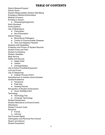## TABLE OF CONTENTS

District Mission/Forward School Hours Student Responsibility/ Student Well-Being Emergency Medical Authorization Medical Concerns Enrolling in School

• Scheduling/Assignment

Early Dismissal

**Immunizations** 

- Use of Medications
	- Prescription
	- Non-Prescription

District Policies

- Blood Borne Pathogens
- Control of Communicable Diseases
- Toxic and Asbestos Hazards

Students with Disabilities Protection and Privacy of Student Records Student Fines and Fees Student Fundraising Student Valuables Meal Service Safety and Security • Safety Drills

- Visitors
- Closings/Delays

Use of School Facilities/Equipment Lost and Found Use of Telephones

● Cellular Phones/ ECD's Advertisement of outside school Activities Grades/Academics

- Homework
- Field trips
- Grading Periods

Recognition of Student Achievement

● Honor Roll/Merit Roll

**Technology** 

● Technology Fee

● Computer Technology

Student Assessment Student Attendance at School Events **Attendance** Student Conduct Code **Discipline** 

● Formal ● Informal

Due Process Rights Interrogation and Removal from School Search and Seizure Student Expression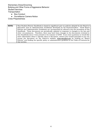## Elementary Dress/Grooming Bullying and Other Forms of Aggressive Behavior Student Services **Transportation**

- Bus Conduct
- Surveillance Camera Notice

Crisis Preparedness

NOTE: This Student/Parent Handbook is based in significant part on policies adopted by the Board of Education and on Administrative Guidelines developed by the Superintendent. Those Board Policies and Administrative Guidelines are incorporated by reference into the provisions of this Handbook. These documents are periodically updated in response to changes in the law and other circumstances. Therefore, there may have been changes to the documents reviewed in this Handbook since it was printed in the summer of 2008. If you have questions or would like more information about a specific issue or document, contact your school principal or you can access the document on the District's website: [www.smriders.net](http://www.smriders.net) by clicking on "Board Policies" and finding the specific policy or administrative guideline in the Table of Contents for that section.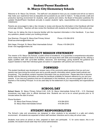## Student/Parent Handbook St. Marys City Elementary Schools

Welcome to St. Marys City Schools. The staff and I are pleased to have you as a student and will do our best to help make your experience here as enjoyable and successful as you wish to make it. To help provide a safe and productive learning environment for students, staff, parents and visitors, the Board of Education publishes this updated Student/Parent Handbook annually to explain students' rights, responsibilities and consequences for misbehavior.

Parents are encouraged to take a few minutes to review and discuss the information in this Handbook with their school-age children. Teachers will also review this Handbook with students at the beginning of the school year.

Thank you for taking the time to become familiar with the important information in this Handbook. If you have any questions, please contact your building principal.

Sue Sherman, Principal St. Marys East Primary School Phone: 419-394-2616 Email:sue.sherman@smriders.net Nick Hager, Principal, St. Marys West Intermediate School Phone: 419-394-2016

DISTRICT MISSION STATEMENT

The mission of St. Marys City Schools, a public school of excellence, is to guarantee a comprehensive education which meets the individual needs of all students and will equip them with skills and knowledge for life, utilizing a highly qualified staff, with up-to-date facilities, resources, and technology; giving students the guidance and support needed to meet their individual goals and plans in cooperation with parents and community.

## FORWARD

This student handbook was developed to answer many of the commonly asked questions that you and your parents may have during the school year and to provide specific information about certain board policies and procedures. This handbook contains important information that you should know. Please take time to become familiar with the following information and keep the handbook available for frequent reference by you and your parents. If you have any questions that are not addressed in this handbook, you are encouraged to talk to your teachers or the building Principal. It is to be used daily for the betterment of your responsibility and organizational skills.

## SCHOOL DAY

**School Hours:** St. Marys Primary School 8:40 -3:25, St. Marys Intermediate School 8:30 – 3:15. Dismissal procedures may begin prior to official dismissal time. Students are not to be on school grounds prior to 10 minutes before the start of school.

Phone Numbers:

Email: nick.hager@smriders.net

| St. Marys East Primary School:     | 419-394-2616 |
|------------------------------------|--------------|
| St. Marys West Intermediate School | 419-394-2016 |

## STUDENT RESPONSIBILITIES

The School's rules and procedures are designed to allow students to be educated in a safe and orderly environment. All students are expected to follow staff members' directions and to obey all school rules.

Students must arrive at school on time, prepared to learn and participate. If, for some reason, this is not possible, the student should seek help from school administration.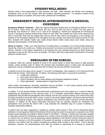## STUDENTWELL BEING

Student safety is the responsibility of both students and staff. Staff members are familiar with emergency procedures such as fire and tornado drills and accident reporting procedures. If a student is aware of any dangerous situation or accident, s/he must notify a staff person immediately.

## EMERGENCY MEDICAL AUTHORIZATION & MEDICAL **CONCERNS**

**Emergency Medical Treatment –** State law requires that every student have an Emergency Medical Form on file at school. These forms are sent home with your child on their first day of school. The form gives us permission and direction on "what to do in case of an emergency". Parents are responsible for informing the school of emergency medical treatment they desire for their child. This includes the name of the doctor(s) they wish to treat their child and the hospital they wish to care for their child in an emergency. If any changes are needed on the Emergency Medical Form throughout the year, parents must inform the school by phone or note. Also, students with specific health care needs should deliver written notice about such needs, along with physician documentation, to the School office.

**Illness or Injuries** – When your child becomes ill (vomiting, fever, or symptoms, of a communicable disease) or injured the school will contact you. Children who become ill at school can be better cared for at home by their parents. Parents, or the person designated by the parents who are contacted because of a child's illness are requested to pick up the child as soon as possible. The office staff must make positive identification of the adult taking the student home.

## ENROLLING IN THE SCHOOL

In general, State law requires students to enroll in the school district in which their parent or legal guardian resides, unless enrolling under St. Marys City Schools open enrollment policy; in which case, the appropriate paperwork must be completed and approved with St. Marys City Schools Director of Instruction.

A student must be five years old by August 1<sup>st</sup> to enroll in Kindergarten. New students in K-5 must enroll at the District Service Center, 1445 Celina Rd., St. Marys. The following information is required for enrollment:

- A state birth certificate
- Up-to-date immunization record
- Proof of residency with an exact address and emergency telephone number
- When appropriate custody papers or legal documents

Under certain circumstances, temporary enrollment may be permitted. In such cases, parents will be notified about documentation required to establish permanent enrollment.

In addition, if a new student resides in the District with a grandparent and is the subject of a: 1) power of attorney designating the grandparent as the attorney-in-fact; or 2) a caretaker authorization affidavit executed by the grandparent that provides the grandparent with authority over the care, physical custody, and control of the child, including the ability to enroll the child in school, consent in all school related matters, and discuss with the District the child's educational progress, the student's grandparent may enroll the child in school on a tuition-free basis. However, in addition to the above referenced documents that are typically required for enrollment, the grandparent must provide the District with a duly executed and notarized copy of a power of attorney or caretaker authorization affidavit.

A student who has been suspended or expelled by another public school in Ohio may be temporarily denied admission to the respective District's Elementary School during the period of suspension or expulsion even if that student would otherwise be entitled to attend school in the District. Likewise, a student who has been expelled or otherwise removed for disciplinary purposes from a public school in another state and the period of expulsion or removal has not expired, may be temporarily denied admission to the District's schools during the period of expulsion or removal or until the expiration of the period of expulsion or removal which the student would have received in the District had the student committed the offense while enrolled in the District. Prior to denying admission, however, the Superintendent shall offer the student an opportunity for a hearing to review the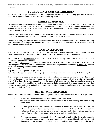circumstances of the suspension or expulsion and any other factors the Superintendent determines to be relevant.

## SCHEDULING AND ASSIGNMENT

The Principal will assign each student to the appropriate classroom and program. Any questions or concerns about the assignment should be discussed with the building Principal.

## EARLY DISMISSAL

No student will be allowed to leave school prior to dismissal time without either (a) a written request signed by the parent or guardian; or (b) the parent or guardian coming to the School office to request the release. No student will be released to a person other than a custodial parent(s) or guardian without permission by the custodial parent(s) or guardian.

When a parent telephones a request that a child be released early from school, the identity of the caller and any custodial arrangements should be confirmed before the child is permitted to leave.

Parents must notify the Principal about plans to transfer their child to another school. School records, including disciplinary records of suspension and expulsion, will be transferred to the new school within fourteen (14) days of the parents' notice or request.

## IMMUNIZATIONS

The Ohio Dept. of Health and the Ohio Dept. of Education, in accordance with Section 3313.671 Ohio Revised Code, has established the following minimum immunization requirements for school attendance:

**DPT/DTaP/DT/Td** – *Kindergarten:* 5 doses of DTaP, DTP, or DT or any combination, if the fourth dose was administered prior to the 4<sup>th</sup> birthday.

**IPV or OPV** – *Kindergarten*: 4 doses if a combination of OPV or IPV was administered. 4 doses of all OPV or all IPV is required if the third dose of either vaccine was administered prior to the 4 th birthday. *Grades 1-12*: 3 doses of OPV or IPV or any combination of OPV or IPV.

**MMR** – 2 doses

**Hepatitis B** – *Kindergarten – 7 th grade*: 3 doses

**Varicella** –– 2 Doses of Varicella (chickenpox) vaccine must be administered prior to the start of kindergarten.

The required immunizations can be waived if a medical contradiction exists: a physician's written statement is required. Objection on religious or philosophical grounds is a valid exception only when a written statement to this effect is signed by a parent/guardian. For the safety of all students, the school principal may remove a student from school or establish a deadline for meeting State requirements if a student does not have the necessary immunizations or authorized waiver. Any questions about immunizations or waivers should be directed to the building Principal.

## USE OF MEDICATIONS

Students who must take prescribed medication during the school day, must comply with the following guidelines:

- A. Parents should determine with the counsel of their child's physician whether the medication schedule can be adjusted to avoid administering medication during school hours.
- B. The appropriate form must be filed with the respective building before the student will be allowed to begin taking any medication during school hours or to use an inhaler to self-administer asthma medication. These forms can be found at [www.smriders.net](http://www.smriders.net) under Board Policies. Such forms must be filed annually and as necessary for any change in the medication.
- C. All medications must be registered with the Principal's office and must be delivered to school in the original containers in which they were dispensed by the prescribing physician or licensed pharmacist, labeled with the date, the student's name, and the exact dosage to be administered.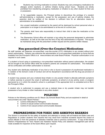- D. Students may not bring medication to school. Students may carry emergency medications for allergies and/or reactions, or asthma inhalers during school hours. Students are strictly prohibited from transferring emergency medication or inhalers to any other student for their use or possession.
- E. If, for supportable reasons, the Principal wishes to discontinue the privilege of a student self-administering a medication, except for the possession and use of asthma inhalers, the parent(s) shall be notified of the decision in sufficient time for an alternative means of administration to be established.
- F. Any unused medication unclaimed by the parent will be destroyed by school personnel when a prescription is no longer to be administered or at the end of a school year.
- G. The parents shall have sole responsibility to instruct their child to take the medication at the scheduled time.
- H. The Elementary School office will maintain a log noting the personnel designated to administer medication, as well as the date and the time of day that administration is required. This log will be maintained along with the prescriber's written request and the parent's written release.

## Non-prescribed (Over-the-Counter) Medications

No staff member will dispense non-prescribed, over-the-counter (OTC) medication to any student without prior parent authorization. Parents may authorize the administration of a non-prescribed medication on forms that are available from the Principal's Office or at www.smriders.net under Board Policies. Physician authorization is not required in such cases.

If a student is found using or possessing a non-prescribed medication without parent authorization, the student will be brought to the School office while the student's parents are contacted for authorization. The medication will be confiscated until written authorization is received.

Any student who distributes medication of any kind or who is found in possession of unauthorized medication is in violation of the School's Code of Conduct and will be disciplined in accordance with the drug-use provision of the Code.

A student may possess and use a metered dose inhaler or a dry powder inhaler to alleviate asthmatic symptoms or before exercise to prevent the onset of asthmatic symptoms, at school or at any activity, event, or program sponsored by or in which the student's school is a participant if the appropriate form is completed and on file in the Principal's Office.

A student who is authorized to possess and use a metered dose or dry powder inhaler may not transfer possession of any inhaler or other medication to any other student.

## POLICIES

Policies on the following conditions are St. Marys City Schools Board Policy and are explained in detail at [www.smriders.net](http://www.smriders.net) under "Board Policies":

- Control of Bloodborne Pathogens
- Control of casual-contact communicable diseases
- Control of non-casual-contact communicable diseases

## PREPAREDNESS FOR TOXIC AND ASBESTOS HAZARDS

The School is concerned for the safety of students and attempts to comply with all Federal and State Laws and Regulations to protect students from hazards that may result from industrial accidents beyond the control of school officials or from the presence of asbestos materials used in previous construction. A copy of the School District's Preparedness for Toxic Hazard and Asbestos Hazard Policy and asbestos management plan will be made available for inspection at the board offices upon request.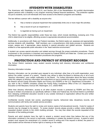## STUDENTSWITH DISABILITIES

The Americans with Disabilities Act (A.D.A.) and Section 504 of the Rehabilitation Act prohibit discrimination against persons with a disability in any program receiving Federal financial assistance. This protection applies not just to students, but to all individuals who have access to the District's programs and facilities.

The law defines a person with a disability as anyone who:

- A. Has a mental or physical impairment that substantially limits one or more major life activities;
- B. Has a record of such an impairment; or
- C. Is regarded as having such an impairment.

The District has specific responsibilities under these two laws, which include identifying, reviewing and, if the child is determined to be eligible, affording access to appropriate educational accommodation.

Additionally, in accordance with State and Federal mandates, the District seeks out, assesses and appropriately services students with disabilities. Staff members use a comprehensive child study process to systematically screen, assess and, if appropriate, place students in special education and related services. Students are entitled to a free appropriate public education in the "least restrictive environment."

A student can access special education and related services through the proper evaluation procedures. Parent involvement in this procedure is important and required by Federal (IDEIA) and State law. Contact your school's building principal, to inquire about evaluation procedures and programs.

## PROTECTION AND PRIVACY OF STUDENT RECORDS

The School District maintains many student records including both directory information and confidential information.

Directory information includes:

Directory information can be provided upon request to any individual, other than a for profit organization, even without the written consent of a parent. Parents may refuse to allow the Board to disclose any or all of such "directory information" upon written notification to the Board. For further information about the items included within the category of directory information and instructions on how to prohibit its release you may wish to consult the Board's annual *Family Education Rights and Privacy Act* (FERPA) or the U.S. Department of Education. If you wish to file a FERPA complaint contact the Family Policy Compliance Office of the U.S. Department of Education at 400 Maryland, Avenue SW, Washington, D.C. 20202-4605.

Other than directory information, access to all other student records is protected by FERPA and Ohio law. Except in limited circumstances as specifically defined in State and Federal law, the School District is prohibited from releasing confidential education records to any outside individual or organization without the prior written consent of the parents.

Confidential records include test scores, psychological reports, behavioral data, disciplinary records, and communications with family and outside service providers.

Students and parents have the right to review and receive copies of all educational records. Costs for copies of records may be charged to the parent. To review student records please provide a written notice identifying requested student records to the child's building principal. You may then obtain the records requested at the discretion of the building principal.

Parents and adult students have the right to amend a student record when they believe that any of the information contained in the record is inaccurate, misleading or violates the student's privacy. A parent or adult student must request the amendment of a student record in writing and if the request is denied, the parent or adult student will be informed of his/her right to a hearing on the matter.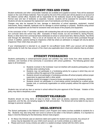## STUDENT FEES AND FINES

Student workbooks and other consumable materials are available and supplied at school. Fees will be assessed based on the cost of these materials. Fees not paid by the end of the school year will be placed on an account at the district's central office. Students will be responsible for the textbooks issued at the beginning of the year. Normal wear and tear of textbooks is expected, however, students will be assessed for excessive damage. Students will also be assessed the replacement cost of lost textbooks and library books

Charges may also be imposed for loss, damage or destruction of school apparatus, equipment, musical instruments, library materials, textbooks and for damage to school buildings or property. Students using school property and equipment can be fined for excessive wear and abuse of the property and equipment.

At the conclusion of the 1<sup>st</sup> semester, students with outstanding fees will not be permitted to purchase any extra, non curricular items the school may offer. Examples of these include, but are not limited to, Spring Pictures, Books or other items from commercial flyers distributed at school or school book fairs, Memory Books, Tee-Shirts sold through the elementary. This is not an all inclusive list, but a list of common items purchased through school. In addition, parents wishing to chaperone a field trip where an admission is charged will only be able to chaperone if their child's fees are paid in full.

If your check/payment is returned to us unpaid for non-sufficient funds (NSF) your account will be debited electronically for both the face amount of the check plus applicable return check and collection fees by eCollect, LLC.

## STUDENT FUNDRAISING

Students participating in school-sponsored groups and activities may solicit funds from other students, staff members, and members of the community in accordance with school guidelines. The following general rules apply to all fundraisers:

- Students involved in the fundraiser must not interfere with students participating in other activities when soliciting funds.
- Students may not participate in a fundraising activity for a group in which they are not members without the approval of the counselor.
- Students should not participate in fundraising activities off school property without proper supervision by approved staff or other adults.
- Students should not engage in house-to-house canvassing for any fundraising activity.
- Students should not participate in a fund-raising activity conducted by a parent group, booster club, or community organization on school property without the approval of the Principal.

Students may not sell any item or service in school without the prior approval of the Principal. Violation of this policy may lead to disciplinary action.

## STUDENTVALUABLES

Students should not bring items of value to school. Items such as jewelry, expensive clothing, electronic equipment, and the like, are tempting targets for theft and extortion. The School will not be liable for any loss or damage to personal valuables.

## MEAL SERVICE

The School participates in the National School Lunch Program and makes lunches available to students for a fee. Students may also bring their own lunch to school to be eaten in the School's cafeteria. It is important to keep in mind the following for the Elementary School meal program:

- St. Marys City Schools uses an electronic debit card system for student lunch accounts. Any amount of money may be deposited into your child's lunch account, as it works similarly as a debit card.
- Please send lunch money (checks are safer) in a sealed envelope marked with the child's name.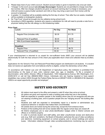- Please keep track of your child's account. Student account status is given to teachers only once per week.
- "Charges" to the lunch account **are strongly discouraged**. Students are not permitted to charge more than two lunches. After two charges (students are given an account warning slip if a charge is necessary), your child will receive a peanut butter sandwich and milk (or they may bring a sack lunch from home) until the account is balanced.
- In grades 1-5, breakfast will be available starting the first day of school. Then after four-six weeks, breakfast will be available to kindergarten students.
- No "Fast Food" should be brought into the cafeteria during school lunch.
- According to USDA regulation, students who require a substitution for milk will need to provide a note from a physician stating that the milk allergy is a life threatening matter.

| <b>Price Chart</b>             |         |                 |
|--------------------------------|---------|-----------------|
| Lunch:                         | Per Day | <b>Per Week</b> |
| Regular Price (includes milk)  | \$2.35  | \$11.75         |
| Reduced Price (if qualified)   | \$0.40  | \$2.00          |
| Milk (if purchased separately) | \$0.50  | \$2.50          |
| <b>Breakfast:</b>              |         |                 |
| <b>Regular Price</b>           | \$1.35  | \$6.75          |
| Reduced Price (if qualified)   | \$0.30  | \$1.50          |

If your check/payment is returned to us unpaid for non-sufficient funds (NSF) your account will be debited electronically for both the face amount of the check plus applicable return check and collection fees by eCollect, LLC.

Applications for the School's Free and Reduced-Priced Meal program are distributed to all students. If a student does not receive an application form and believes she/he is eligible, contact the elementary school office.

"In accordance with Federal Law and US Department of Agriculture policy, this institution is prohibited from discriminating on the basis of race, color, national origin, sex, age, or disability. To file a complaint of discrimination, write USDA, Director, Office of Adjudication, 1400 Independence Avenue, SW, Washington, D.C. 20250-9410 or call toll free (866)632-9992 (Voice). Individuals who are hearing impaired or have speech disabilities may contact USDA through the Federal Relay Service at (800)877-8339; or (800)845-6136 (Spanish). USDA is an equal opportunity provider and employer".

## SAFETY AND SECURITY

- A. All visitors must report to the office and present a valid ID when they arrive at school.
- B. All visitors are given and required to wear a building pass while they are in the building.
- C. Staff are expected to question people in the building whom they do not recognize and who are not wearing a building pass, and to question people who are "hanging around" the building after hours.
- D. Students and staff are expected to immediately report to a teacher or administrator any suspicious behavior or situation that makes them uncomfortable.
- E. All outside doors are locked during the school day, except the front entrance doors.
- F. Portions of the building that will not be needed after the regular school days are closed off.
- G. All District employees are to wear photo-identification badges while in District schools and offices or on District property.
- H. In order to promote student and staff safety, and deter unauthorized access and destructive acts (e.g. theft and vandalism), the Board of Education authorizes the use of video surveillance and electronic monitoring equipment on school property, and in school buildings and school buses. Information obtained through video surveillance/electronic monitoring may be used to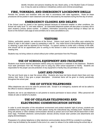identify intruders and persons breaking the law, Board policy, or the Student Code of Conduct (e.e. it may be used as evidence in disciplinary actions and criminal proceedings).

## FIRE, TORNADO, AND EMERGENCY LOCKDOWN DRILLS

Periodic fire, tornado and lockdown drills are held in accordance with state regulations. Rules for these procedures will be posted in each classroom and will be discussed by the teachers during the first day of school.

## EMERGENCY CLOSING AND DELAYS

If the School must be closed or the opening delayed because of inclement weather or other conditions, the School will notify local T.V. and radio stations. An automated telephone system will also place a courtesy call to each student's primary phone number. In addition, information concerning school closings or delays can be found on the School's web page at [www.smriders.net](http://www.smriders.net) or www.cancellations.com.

## VISITORS

Visitors, particularly parents, are welcome at the School. Visitors must report to the office upon entering the School to sign in and obtain a pass by presenting a valid ID. Any visitor found in the building without signing in or obtaining a pass shall be reported to the Principal. If a person wishes to confer with a member of the staff, s/he should call for an appointment prior to coming to the School in order to schedule a mutually convenient meeting time.

Students may not bring visitors to school without prior written permission from the Principal.

## USE OF SCHOOL EQUIPMENT AND FACILITIES

Students must receive teacher permission before using any equipment or materials in the classroom. Students must seek permission from the Principal prior to using any other school equipment or facility. Students are responsible for the proper use and protection of any equipment or facility they are permitted to use.

## LOST AND FOUND

The lost and found area is near the school office. Students who have lost items should check there and may retrieve their items if they give a proper description. Unclaimed items will be given to charity periodically throughout the school year.

## USE OF OFFICE TELEPHONES

Office telephones are not to be used for personal calls. Except in an emergency, students will not be called to the office to receive a telephone call.

Students are not to use telephones to call parents to receive permission to leave school. Office personnel will initiate all calls on behalf of a student.

## USE OF CELLULAR TELEPHONES AND ELECTRONIC COMMUNICATION DEVICES

In order to avoid disruption of the educational environment and protect students' right of privacy, students are prohibited from having cell phones on their person during the instructional day, including lunch. Students who bring cell phones or other wireless communication devices to school are to turn them off and leave them in their book bags. Prohibited electronic communication devices (ECDs) include laser pointers and attachments and paging devices/beepers.

Possession of a cellular telephone or other electronic communication device (ECD) by a student is a privilege, which may be forfeited by the student if s/he turns it on, uses it or allows it to be visible during the school day or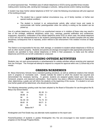on school-sponsored trips. Prohibited uses of cellular telephones or ECD's during specified times includes making and/or receiving calls, sending text messages or pictures , taking pictures and/or making recordings.

A student may keep his/her cellular telephone or ECD "on" under the following circumstances with prior approval of the building principal:

- The student has a special medical circumstance (e.g., an ill family member, or his/her own special medical condition).
- The student is involved in an extracurricular activity after school hours and needs to communicate with his/her parent/guardian when the activity is ending so the student can be picked up.

Use of a cellular telephone or other ECD in an unauthorized manner or in violation of these rules may result in loss of this privilege, additional disciplinary action (e.g., warnings, parental notification and conferences, suspension, expulsion), confiscation of the cellular telephone and/or ECD (in which case, the cellular telephone or ECD will only be released/returned to the student's parent/guardian after the student complies with any other disciplinary consequence that is imposed), and/or referral to law enforcement if the violation involves an illegal activity.

The District is not responsible for the loss, theft, damage, or vandalism to student cellular telephones or ECDs as well as other student property. Students and parents are strongly encouraged to take appropriate precautions, if students are permitted to have cellular telephones or ECDs in their possession, to make sure the cellular telephones and ECDs are not left unattended or unsecured.

## ADVERTISING OUTSIDE ACTIVITIES

Students may not post announcements or advertisements for outside activities without receiving prior approval from the Principal. The Principal will attempt to respond to a request for approval within one (1) school day of its receipt.

## GRADES/ACADEMICS

St. Marys Elementary Schools have a standard grading procedure, as well as additional notations that indicate work in progress or incomplete work. Grades indicate the extent to which the student has acquired and demonstrated the necessary learning. In general, students are assigned grades based upon test results, homework, projects, and classroom participation. Each teacher may place a different emphasis on these areas when determining a grade and will inform the students at the beginning of the course. If a student is not sure how his/her grade will be determined, s/he should ask the teacher.

The following elementary grading scale has been adopted by the Board of Education for use throughout the St. Marys City School District:

| 100 A+    |            | 82, 83 C+ |    |
|-----------|------------|-----------|----|
| 95-99 A   |            | 75-81 C   |    |
| 94 A-     |            | 74 C-     |    |
| 92, 93 B+ |            | 72, 73 D+ |    |
| 85-91 B   |            | 65-71 D   |    |
| 84.       | B-         | 64.       | D- |
|           | Below 64 F |           |    |

Kindergarten and First Grade may use alternate marks explained on the report card.

Parents/Guardians of students in grades Kindergarten thru five are encouraged to view student academic progress on line through Progress Books.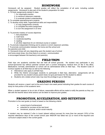## HOMEWORK

Homework will be assigned. Student grades will reflect the completion of all work, including outside assignments. Homework is also part of the student's preparation for tests.

A. To finish assignments started in class

- 1. for meaningful practice
- 2. to reinforce classroom materials
- 3. to evaluate student understanding
- B. To complete special/long-term projects.
- C. To develop study skills, organizational skills and responsibility
	- 1. to copy assignments correctly
	- 2. to complete the entire assignment
	- 3. to turn the assignment in on time
- D. To promote mastery of course objectives
	- 1. test preparation
	- 2. math facts
	- 3. vocabulary/spelling
	- 4. reading
	- 5. all other objectives for an individual course or subject
- E. To promote independent thinking and to extend or enrich classroom activities.

F. To promote communication between the home and the school and the parent(s) and child.

G. Homework times will vary depending upon the student use of school and home study times. Any time there is a concern, communication is encouraged between the teacher(s) and parent(s).

## FIELD TRIPS

Field trips are academic activities that are held off school grounds. No student may participate in any school-sponsored trip without parental consent and a current emergency medical form on file in the office. Medications normally administered at school will be administered while on field trips. The Student Code of Conduct applies to all field trips as well as the following:

- Attendance rules apply to all field trips.
- While the District encourages students to participate in field trips, alternative assignments will be provided for any student whose parent does not give permission for the student to attend.
- Students who violate school rules may lose the privilege to go on field trips.

## GRADING PERIODS

Students will receive a report card at the end of each nine week period indicating their grades for each course of study for that portion of the academic term.

When a student appears to be at risk of failure, reasonable efforts will be made to notify the parents so they can talk with the teacher about what actions can be taken to improve poor grades.

## PROMOTION, ACCELERATION, AND RETENTION

Promotion to the next grade (or level) is based on the following criteria:

- current level of achievement
- potential for success at the next level
- emotional, physical, and/or social maturity

A student may be retained if s/he is truant (absent without excuse) for more than ten percent (10%) of the required attendance days of the current school year AND/OR has failed two (2) or more of the required core curriculum subject areas in the current grade.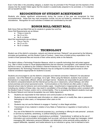Even if s/he falls in the preceding category, a student may be promoted if the Principal and the teachers of the classes that the student failed agree that the student is academically prepared to be promoted, or if a retention will not benefit the child.

## RECOGNITION OF STUDENT ACHIEVEMENT

Students who display significant achievements during the course of the year are recognized for their accomplishments. Areas that may merit recognition include, but are not limited to, academics, citizenship, and volunteerism. Recognition for such activities is initiated and coordinated by the staff.

## HONOR ROLL/MERIT ROLL

Both Honor Roll and Merit Roll are for students in grades four and five. Honor Roll Requirements are as follows:

- Three or more A's
- No C's or D's
- No S- or below

Merit Roll requirements are as follows:

- One or Two A's
- No C's or D's
- No S- or below

## TECHNOLOGY

Student use of the district's computers, network and internet services ("Network") are governed by the following principles and guidelines, and the Student Code of Conduct. Users have a limited privacy expectation in the content of their personal files and records of their online activity while on the Network.

The district utilizes a Technology Protection Measure, which is a specific technology that will protect against (e.g., filter or block) access to visual displays/depictions that are obscene, pornographic, and materials that are harmful to minors, as defined by the Children's Internet Protection Act. At the discretion of the board or the Superintendent, the Technology Protection Measure may be configured to protect against access to other material considered inappropriate for students to access.

Students are encouraged to use the district's computers and Internet connection ("Network") for educational purposes. Use of the Network is a privilege, not a right. When using the Network, students must conduct themselves in a responsible, efficient, ethical, and legal manner. Students are responsible for good behavior on the district's computers/network and the Internet just as they are in classrooms, school hallways, and other school premises and school sponsored events. Communications on the Internet are often public in nature. General school rules for behavior and communication apply. Unauthorized or inappropriate use of the Network, including any violation of these rules, may result in cancellation of the privilege, disciplinary action consistent with the Student Code of Conduct, and/or civil or criminal liability. Prior to accessing the Network students must sign the Student Network and Internet Acceptable Use and Safety Agreement.

- A. Students are responsible for their behavior and communication on the Network.
- B. Students may not intentionally seek information on, obtain copies of, or modify files, data or passwords belongings to other users, or misrepresent other users on the Network
- C. Students may not use the Network to engage in "hacking" or other illegal activities.
- D. Transmission of any material in violation of any State or Federal law or regulation or board policy is prohibited.
- E. Any use of the Network for commercial purposes (e.g., purchasing or offering for sale personal products or services by students), advertising, or political lobbying is prohibited.
- F. Use of the Network to engage in cyberbullying is prohibited. "Cyberbullying" is defined as the use of information and communication technologies such as email, cell phone and pager text messages, instant messaging (IM), defamatory personal Websites, and defamatory online personal polling websites, to support deliberate, repeated, and hostile behavior by an individual or group, that is intended to harm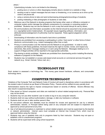others."

Cyberbullying includes, but is not limited to the following:

- 1. posting slurs or rumors or other disparaging remarks about a student on a website or blog;
- 2. sending e-mail or instant messages that are mean or threatening, or so numerous as to drive up the victim's cell phone bill;
- 3. using a camera phone to take and send embarrassing photographs/recordings of students;
- 4. posting misleading or fake photographs of students on web sites.
- G. Malicious use of the Network to develop programs that harass other users or infiltrate a computer or computer system and/or damage the software components of a computer or computing system is prohibited. Students may not use the Network in such a way that would disrupt its use by others.
- H. All communications and information accessible via the Internet should be assumed to be private property (i.e. copyrighted and/or trademarked). All copyright issues regarding software, information, and attributions/acknowledgement of authorship must be respected. Rules against plagiarism will be enforced.
- I. Downloading of information onto the board's hard drive is prohibited.
- J. Students are prohibited from accessing or participating in online "chat rooms" or other forms of direct electronic communication (e.g., instant messaging) (other than e-mail).
- K. Privacy in communication over the Internet and the Network is not guaranteed. In order to verify compliance with these guidelines, the board reserves the right to monitor, review, and inspect any directories, files and/or message residing on or sent using the Network. Messages relating to or in support of illegal activities will be reported to the appropriate authorities.
- L. File-sharing is strictly prohibited. Students are prohibited from downloading and/or installing file-sharing software or programs on the Network.
- M. Students may not establish or access web-based email accounts on commercial services through the network (e.g., Gmail, Hotmail, Yahoo mail, etc.).

## TECHNOLOGY FEE

Each student is assessed a technology fee. This money goes toward hardware, software, and consumable technology items.

## COMPUTER TECHNOLOGY

Violations of the Computer Tech and Network Code of Conduct will result in disciplinary action in accordance with the student code of conduct as per Board of Education Policy. Parents will be notified at every penalty level.

Administrators reserve the right to impose consequences based on severity of offense. Severe offenses may also result in suspension/expulsion.

- 1. Files stored on School computers and disks are restricted to school related assignments only. Personal files may not be stored.
- 2. Students may not use other students' user id codes to log on to any computer network.
- 3. Students shall not copy (without authorization), damage, or alter any hardware or software.
- 4. Students shall not use or alter another person's files.
- 5. All non-school software and diskettes must be checked for viruses and approved for use by a network administrator, teacher, or Principal before being used on any computer and are subject to inspection and approval by school personnel at any time.
- 6. Use of all telecommunications is restricted to school related projects and must be supervised by the teacher or network administrator. Internet users must complete an Internet Use Consent Form, which must be approved before using the Internet.
- 7. Students may use or establish links only to programs listed by their instructor. Students may not open or establish a link to unauthorized programs.
- 8. Students will be supervised while using school equipment.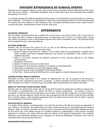## STUDENT ATTENDANCE AT SCHOOL EVENTS

Students are encouraged to attend as many after school events as possible, without interfering with their school work and home activities. Enthusiastic spectators help to build school spirit and encourage those students participating in the event.

It is strongly advised that students attending evening events as nonparticipants be accompanied by a parent or adult chaperone. The Board is not responsible for supervising unaccompanied students nor will it be responsible for students who arrive without an adult chaperone. Also, all students attending school events, student code of conduct rules apply; and disciplinary action at school, may result.

## **ATTENDANCE**

#### **EXCESSIVE ABSENCES**

HB 410 defines 'excessive absences' as absent 38 or more hours in one school month or 65 or more hours in one school year with or without a legitimate excuse. Any absence(s) over 72 hours, or 12 days, within a school year without a physician's note or administrative approval may result in disciplinary action. One Saturday School will be assigned for each unexcused absence.

#### **EXCUSED ABSENCES**

Students may be excused from school for one or more of the following reasons and will be provided an opportunity to make up missed school work and/or tests:

- 1. Personal illness or appointments requires a call or written note from parent/guardian. Students with a health condition that causes repeated absences must provide an explanation of the condition from a registered physician.
- 2. Illness in the family requiring the student's presence at home (requires approval by the building administrations).
- 3. Quarantine of the home.
- 4. Death in the family or funeral of a close friend.
- 5. Necessary work at home due to absence or incapacity of a parent/guardian.
- 6. Observation or celebration of a bona fide religious holiday.
- 7. Such good cause as may be acceptable to the Superintendent.
- 8. Field Trips School sponsored field trips will not count against a student's attendance record.

#### **LEAVING SCHOOL WHILE IN SESSION**

Permission to leave school while it is in session for appointments, etc. can be granted by the principal or designee only when requested by the parent or guardian. A parent or guardian must sign the student out in the office. Students are to return to school as soon as possible after the appointment and report to the office.

#### **MAKE-UP TESTS AND OTHER SCHOOL WORK**

Students who are absent from school with an excuse shall be given the opportunity to make-up missed work. The student or parent/guardian may contact the office to request assignments. The number of days for completion of make-up work will be equivalent to the number of excused days of absence. If a student missed a test due to an excused absence, he/she should make arrangements with the teacher to take the test at another time. If he/she misses a state-mandated assessment test, the student should consult with the office to arrange for administration of the test at another time.

#### **NOTIFICATION OF ABSENCE**

If a student will be absent, a parent/guardian must notify the school by 8:30 AM and provide an explanation. If prior contact is not possible, the parents should provide a written excuse as soon as possible after the student's absence. When no excuse is provided, the absence will be unexcused and the student will be identified as truant for that school day. If the offered excuse for a student's absence is questionable or if the number of student absences is excessive, the school staff will notify the parents of the need for improvement in the student's attendance and appropriate discipline may be assigned. An Advanced Notification of Absence Form must be completed before any pre-planned absence.

#### **SUSPENSION FROM SCHOOL**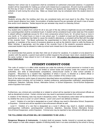Absence from school due to suspension shall be considered an authorized unexcused absence. A suspended student will be responsible for making up school work missed due to suspension. All work must be submitted on the first day of return in order to receive credit. Parent(s) and students are responsible for arranging a time for collection of work during the school day. Make up missed tests may be scheduled when the student returns to school.

#### **TARDIES**

Students arriving after the building start time are considered tardy and must report to the office. Time tardy counts toward absence hour totals. Accumulation of tardies beyond five per semester will result in loss of recess time and/or lunch detention. Tardies beyond ten per semester may result in a Saturday School.

#### **UNEXCUSED ABSENCES/TRUANCY**

Any student who is absent from school for all or any part of the day without a legitimate excuse and notification by a parent/guardian shall be considered truant. A student will be considered truant under state law if the student is absent without a legitimate excuse for 30 or more consecutive school hours, for 42 school hours or more in one month, or 72 school hours or more in one school year. If a student is truant and the student's parent(s), guardian(s), or custodian(s) has failed to cause the student's attendance, a complaint will be filed with the judge of the Juvenile Court. The Board authorizes the superintendent to inform the student and his/her parents, guardian, or custodian of the record of excessive absence as well as the district's intent to notify the Bureau of Motor Vehicles, if appropriate, and the judge of the Juvenile Court of the student's excessive absence. An unexcused student may be allowed to make-up school work missed due to the unexcused absence.

#### **VACATIONS**

It is recommended that parents not take their child out of school for vacations. If a student is to be absent for a vacation with the parents, a parent must submit a written request to the principal. Upon return, students will have the same number of days absent to turn in all make-up work. **All vacation day absences count toward the hours listed above.**

## STUDENT CONDUCT CODE

This code of conduct is in effect while students are under the authority of school personnel or involved in any school activity. This includes but is not limited to school buses and property under the control of school authorities, and while at interscholastic competitions, extracurricular events or other school activities or programs. Misconduct by a student that, regardless of where it occurs, is directed at a district official or employee or the property of an official or employee is also a violation of the conduct code.

Each of the behaviors and/or types of misconduct described below are prohibited and may subject the student to disciplinary action including, but not limited to, student conference, parent/guardian notification, parent/guardian conference, Detention, Saturday School, Alternative School, In School Suspension, Out-of-School Suspension and/or Expulsion from school.

Furthermore, any criminal acts committed at or related to school will be reported to law enforcement officials as well as disciplined at school. Certain criminal acts may result in permanent exclusion from school.

A violation of the following rules may result in disciplinary action. The disciplinary action taken will be determined by whether the rule is a Level I or Level II offense. Level I and Level II are defined as follows:

Level I: Violation of a rule that is designated as a Level I offense may result in Alternative School, Suspension or Expulsion. Criminal acts will be reported to law enforcement officials as well.

Level II: Violation of a rule that is designated as a Level II offense may result in, student conference, parent/guardian notification, parent/guardian conference, detention,, Saturday School, Alternative School, Out-of-School Suspension, and/or Expulsion. Criminal acts may be reported to law enforcement officials as well.

#### **THE FOLLOWING VIOLATIONS WILL BE CONSIDERED TO BE LEVEL I:**

**Dangerous Weapons & Instruments** - A student shall not possess, handle, transmit or conceal any object or other weapon or look alike weapon capable of inflicting bodily harm in an area controlled by the school or during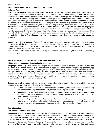#### school activities.

#### **False threats of Fire, Tornado, Bomb, or other Disaster**

#### **Inducing Panic**

**Narcotics, Alcoholic Beverages and Drugs/"Look Alike" Drugs**- A student shall not possess, show evidence of consumption, transmit, attempt to buy or sell, or conceal narcotics, alcoholic beverages, intoxicant, inhalant, controlled substance, drugs, and substances which are thought to be drugs, sold as drugs or inferred by the seller or buyer to be mind-altering substance or illegal drugs, or any paraphernalia capable of being used to use drugs, while on school grounds or facilities, at school sponsored events, in other situations under the authority of the school, or in school controlled vehicles. The Principal, at his discretion, may permit the student to attend a substance abuse referral/treatment program in lieu of all or part of any disciplinary action. Prior to any such determination, however, written verification of the student's enrollment in a satisfactory substance abuse program must be submitted. Upon completion of this program, the student must submit to the Principal written verification from the program's director that the student has satisfactorily completed the substance abuse program. If the student fails to submit written verification of satisfactory program completion, the full disciplinary action will be reinstated immediately. Any subsequent violation within a school year will result in suspension and a request for expulsion

**Unauthorized Bodily Contact -** The act of physically touching or hitting, or making physical threats to a student or employee of the school system or any other person while on school property or while attending a school-sponsored event. This rule will be considered a Level I offense if the altercation had to be ended by bystanders, or an act of assault is involved.

**Fire-** Setting or attempting to start a fire, or using or possessing smoke bombs, lighters or matches, fireworks, incendiaries, etc.

#### **THE FOLLOWING VIOLATIONS WILL BE CONSIDERED LEVEL II:**

#### **Aiding another student to violate school regulations**

**Bullying/Harassment:** The Board encourages the promotion of positive interpersonal relations between members of the school community. Harassment and or aggressive behavior (including bullying/cyber bullying) toward a student, whether by other students, staff, or third parties is strictly prohibited and will not be tolerated. This prohibition includes physical, verbal, and psychological abuse, and any speech or action that creates a hostile, intimidating, or offensive learning environment. The Board will not tolerate any gestures, comments, threats, or actions which cause or threaten to cause bodily harm or personal degradation. Individuals engaging in such conduct will be subject to disciplinary action.

Conduct constituting harassment on the basis of race, color, national origin, religion, or disability may take different forms, including, but not limited to the following:

- A. **Verbal:** The making of offensive written or verbal comments, jokes, insults, threats, or disparaging remarks concerning a person's race, color, national origin, religious beliefs, or disability.
- B. **Nonverbal:** Placing offensive objects, pictures, or graphic commentaries in the school environment or making insulting or threatening gestures based upon a person's race, color, national origin, religious beliefs, or disability.
- C. **Physical:** Any intimidating or disparaging action such as hitting, pushing, shoving, hissing, or spitting, on or by a fellow staff member, student, or other person associated with the District, or third parties, based upon a person's race, color, national origin, religious beliefs, or disability.

#### **Bus Misconduct**

#### **Cell Phone or Electronic Devices**

**Cheating/Academic Dishonesty** – Presenting someone else's work as one's own in order to obtain a grade or credit is considered to be cheating. This includes, but is not limited to, copying others assignments/homework, copying from the internet, quiz or test answers, plagiarism, and forging signatures. Students who violate this policy will receive zero credit for assignments or work involved and appropriate disciplinary action will be taken.

**Damage of School and Personal Property** - A student shall not cause or attempt to cause damage to the property of the school (including computer files) or of others on school premises or during school activities or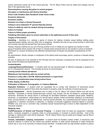school sponsored events off of the school grounds. The St. Marys Police may be called and charges may be filed in the appropriate courts.

**Demonstrations causing disruption to school program**

**Disruption or Interference with School Activities**

**Dress Code Violation (See Handbook Under Dress Code)**

**Excessive absences**

**Excessive tardies**

**Extortion of a Pupil or School Personnel**

**Failing to serve detention/ 9 th period/ Saturday School**

**Failure to abide by rules for student driving and parking**

**Failure to Comply**

**Failure to follow proper procedure**

#### **Falsifying information given to school authorities in the legitimate pursuit of their jobs**

#### **Forgery of Documents**

**Gambling** – Gambling (i.e., playing a game of chance for stakes) includes casual betting, betting pools, organized-sports betting, and any other form of wagering. Students who bet on any school activity in which they are involved may also be banned from that school activity.

Hazing- Hazing is defined as any act of forcing another to do or initiate any act against any student or other group of students which causes risk of harm or mental and/or physical harm to any student or group of students. Permission or consent of hazing by the affected individual does not lessen the possible consequences for this action.

No administrator, faculty member or employee of the district shall encourage, permit, condone or tolerate hazing activities.

All acts of hazing are to be reported to the Principal and the necessary consequences will be assessed by the high school Principal and Superintendent.

#### **Insubordination**

**Language/Gestures/Disrespect** - A student shall not use abusive/vulgar or offensive language or gestures or act in a disrespectful manner. This includes all forms of communication.

**Leaving school without permission**

**Misbehavior that interferes with any school activity**

**Presence in areas after 3:30 P.M. without permission or supervision**

**Presence in unauthorized areas during school hours**

#### **Public display of affection**

#### **Publication of Obscene, Pornographic, or Libelous Materials**

**Repeated Violations** - A student shall not repeatedly fail to comply with directions of authorized school personnel during any period of time when the student is properly under the authority of school personnel.

**Sexual Harassment** – Sexual harassment has no place in the St. Marys City School District and will not be tolerated. Examples of sexual harassment-type conduct may include, but are not limited to, unwanted sexual advances; demands for sexual favors in exchange for favorable treatment; repeated sexual jokes, flirtations, advances, or propositions; verbal abuse of a sexual nature; graphic verbal commentary relating to an individual's body, sexual prowess or sexual deficiencies; coerced sexual activities; any unwanted physical contact; sexually suggestive or obscene comments or gestures; or displays of sexually suggestive obscene objects or pictures. Whether any such act or comment may constitute sexual harassment-type conduct is often dependent on the individual recipient.

#### **Skipping class**

**Theft/Possession of School and Personal Property -** A student shall not steal any equipment, materials, books, computer programs or property while on school property or involved in school activities. Cost of the damage or replacement costs will be assessed. The St. Marys Police may be called and charges may be filed in the appropriate court.

**Threats, intimidation, bullying, harassment -** A student shall not threaten (verbal, written, or electronic) with physical violence or coerce by any means any student, teacher, or other school employee or visitor during the school day or any of its curricular or extracurricular activities. A student shall not urge another student or person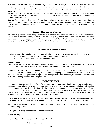to threaten with physical violence or coerce by any means any student, teacher, or other school employee or visitor. Intimidation shall include, but is not limited to, threats used to extort money or any other item of value from another student or person. This pertains to the entire school grounds including the operation of motor vehicles.

**Unauthorized Bodily Contact** – The act of physically touching or hitting, or making physical threats to a student or employee of the school system or any other person while on school property or while attending a school-sponsored event.

**Use or Possession of Tobacco** – Possessing, distributing, transmitting, concealing, consuming, showing evidence of having consumed, using or offering for sale any tobacco product while on school grounds or facilities; at school sponsored events; in other situations under the authority of the school or in school-controlled vehicles.

## School Resource Officer

St. Marys City School District along with the St. Marys Police Department employs a School Resource Officer. This individual has the authority to assist in situations regarding search and seizure, criminal acts, and other duties approved by the Superintendent. Complaints against the SRO shall follow the normal complaint process of the City and the St. Marys Police Department and include notice to the appropriate school administrators.

## Classroom Environment

It is the responsibility of students, teachers, and administrators to maintain a classroom environment that allows:

- A. a teacher to communicate effectively with all student in the class; and
- B. all students in the class the opportunity to learn.

#### **Care of Property**

Students are responsible for the care of their own personal property. The School is not responsible for personal property. Valuables such as jewelry or irreplaceable items should not be brought to school.

Damage to or loss of school equipment and facilities wastes taxpayers' money and undermines the school program. Therefore, if a student damages or loses school property, the student and/or his/her parents will be required to pay for the replacement or repair. If the damage or loss was intentional, the student will be subject to discipline according to the Student Discipline Code.

## DISCIPLINE

It is important to remember that the School's rules apply going to and from school, at school, on school property, at school-sponsored events, on school transportation, and on property not owned or controlled by the Board but that is connected to activities or incidents that have occurred on property owned or controlled by the Board. Furthermore, students may be disciplined for conduct that, regardless of where or when it occurs, is directed at a Board official or employee, or the property of such official or employee. In some cases, a student can be suspended from school transportation for infractions of school bus rules.

The School is committed to providing prompt, reasonable discipline consistent with the severity of the incident. The consequences for misbehavior are designed to be fair, firm and consistent for all students in the School.

Because it is not possible to list every misbehavior that occurs, misbehaviors not listed above will be responded to as necessary by staff.

Two (2) types of discipline are possible, informal and formal.

#### **Informal Discipline**

Informal discipline takes place within the School. It includes:

Writing assignments;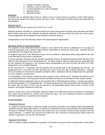- Change of seating or location;
- **Detention; Lunch or After School**
- In-school discipline (e.g. loss of privilege)
- Saturday School
- Alternative School

#### **Detentions**

A student may be detained after school or asked to come to school early by a teacher or other staff member, after giving the student and his/her parents one day's notice. The student or his/her parents are responsible for transportation.

#### Saturday School

Saturday school will be in session from 8 A.M. thru 11 A.M.

Assigned students will attend a continuous three hour period during which time they will be permitted one break. Each student shall arrive with sufficient educational materials to be busy during this three hour study period. These assignments will be assigned by the students' homeroom teacher.

Transportation to and from Saturday school is the student/parent's responsibility.

#### Alternative School (In-School-Suspension)

The Auglaize County Alternative School change to may become the school of attendance for any day(s) of In-School suspension that a student might become responsible for during the school year. Students who are suspended from the regular day school will

be assigned equal time at the Alternative School and the students in attendance will be responsible for all rules of the Alternative School while in attendance.

The basic operation will begin with the standard suspension hearing. Suspended students will be informed of the dates for their attendance at the Wapakoneta site. St. Marys students will be bussed from the designated pick up site (students are required to use provided school transportation) and they will take with them all of their assignments to be completed that day.

At the conclusion of a successful day the students will be bussed back to the designated drop off site. All assignments are to be turned into their teachers upon return for the first day of regular attendance. Students who do not attend or who become discipline problems while in attendance will risk multiple dates of suspension or unruly charges in Juvenile court.

The advantages of this program include the strong support of the Juvenile Court. Students who attend are not accumulating absences, incurring grade reduction penalties and they do not fall behind in their regular classes.

An Alternative School assignment may be used at either East or West Elementary School. A parent may need to provide transportation to the designated site. All teacher assigned work will be expected to be completed during the school day. All items of work must be returned to the appropriate teacher upon arrival to school on the student's next regular attendance school day.

Failure to timely serve a form of Detention, Saturday School, or an Alternative School may result in a suspension from school (out-of school) for a period not to exceed ten days. Any such suspension shall be in accordance with District guidelines on suspension and expulsion.

#### **Formal Discipline**

#### **Emergency Removal**

If a student's presence poses a continuing danger to persons or property, or an ongoing threat of disrupting the academic process taking place either in a classroom or elsewhere on the school premises, the Superintendent, Principal or Assistant Principal may remove the student from any curricular or extracurricular activity or from the school premises. A teacher may remove the student from any curricular or extracurricular activity under the teacher's supervision, but not from the premises.

#### Expulsion From School

When a student is being considered for expulsion, the student and parent will be provided with a formal notice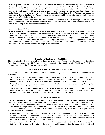of the proposed expulsion. This written notice will include the reasons for the intended expulsion, notification of the opportunity to appear in person before the Superintendent or the Superintendent's designee to challenge the reasons for the expulsion and/or explain the student's action, and notification of the time and place to appear. Students being considered for expulsion may be removed immediately. A hearing will be scheduled no earlier than three (3), nor no later than five (5) school days after the notice is given. Parents may request an extension of time for the hearing. The student may be represented by his/her parents, legal counsel, and/or by a person of his/her choice at the hearing.

In accordance with Board Policy 5610, the Superintendent shall initiate expulsion proceedings against a student who has committed an act that warrants expulsion under board policy even if the student withdraws from school prior to the hearing or decision to impose the expulsion.

#### Suspension (Out-of-School)

When a student is being considered for a suspension, the administrator in charge will notify the student of the basis for the proposed suspension. The student will be given an opportunity to explain his/her view of the underlying facts. After that informal hearing, the Principal (or Assistant Principal or other administrator) will determine whether or not to suspend the student. If the decision is made to suspend the student, he/she and his/her parents will be given written notification of the suspension within one (1) day setting forth the reason for the suspension, the length of the suspension, and the process for appeal. Students serving out of school suspensions will not receive credit for the length of the suspension.

#### **Discipline of Students with Disabilities**

Students with disabilities are entitled to the rights and procedures afforded by the Individuals with Disabilities Education Improvement Act (I.D.E.I.A.), and, where applicable, the Americans with Disabilities Act (A.D.A.), and/or Section 504 of the Rehabilitation Act of 1973.

#### **INTERROGATION AND/OR REMOVAL FROM SCHOOL**

It is the policy of the schools to cooperate with law enforcement agencies in the interest of the larger welfare of all citizens.

- 1. Whenever possible, police officers should contact and/or question students out of school. When it is absolutely necessary for an official from these agencies to make a school contact with a student, the school authorities will bring the student to a private room, and an attempt to notify the parents/guardian will be made.
- 2. When it is necessary to remove a student from school, after notifying the school Principal, the police authorities should notify the parents.
- 3. The school system works in conjunction with the Children's Services Department throughout the year. Every effort will be made to ensure that appointments are made which coincide with the student's study hall to prevent loss of class time. All parental questions will be directed to the caseworker.

#### **SEARCH AND SEIZURE**

The Fourth Amendment of the US Constitution together with the Statues of the state of Ohio set forth procedures which must be followed in the search and seizure of individuals and property. In conjunction with rules the St. Marys City Schools are a drug free zone and the Board of Education has zero tolerance for substance abuse or possession on school property. The school will cooperate fully with police investigation including but not limited to the use of canine patrol programs subject to the Board of Education policy. When reasonable suspicion exists the following should be observed:

- A. School Compartments supplied by the school and used by the students are the property of the Board of Education. Therefore, student compartments and the contents of them are subject to random search at any time without regard to whether there is a reasonable suspicion that any compartment or its contents contains evidence of a violation of a school rule or criminal statute.
- B. Search of a student and his/her possessions may be conducted at any time the student is under the jurisdiction of the Board of Education, if there is a reasonable suspicion that the student is in violation of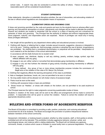school rules. A search may also be conducted to protect the safety of others. Failure to comply with a reasonable search will be considered insubordination.

#### **STUDENT EXPRESSION**

False statements, disruptive or potentially disruptive activities, the use of obscenities, and advocating violation of the law or official school regulations are unacceptable means of expression.

#### **ELEMENTARY DRESS AND GROOMING CODE**

If dress and grooming permitted by the code and parents and worn by the students have an adverse effect upon learning and educational atmosphere at school, adjustments and changes will be made to alleviate the problem. Parents and students are trusted to remember that the school is a place of learning and not a showroom for extremes of dress and grooming. The Principal has the authority to address and enforce inappropriate dress. Good judgment, maturity, and responsible action are expected. Abuse of privileges can result only in having these privileges withdrawn.

- 1. Hair length will be specified by any department where safety and educational process is involved.
- 2. Clothing with figures or lettering that is vulgar, includes sexual innuendo, suggestive, obscene or distasteful is not to be worn. Clothing, patches etc. that encourage, promote or advertise the use of alcohol, drugs/tobacco are prohibited. No clothing that is considered discriminatory or prejudicial will be permitted. Interpretation of such material is at the discretion of the school administration.

In accordance with the Safe Schools Act no student shall

- A) wear, possess, use, distribute, display or sell any clothing, jewelry, emblem, badge, symbol, sign that reflects affiliation with any gang.
- B) engage in any act, either verbal or nonverbal that demonstrates gang membership or affiliation.
- C) engage in any act that furthers the interests of gang activity including soliciting membership or affiliation with any gang.
	- Gang defined: Any group of two or more whose membership purpose includes the commission of illegal acts or the violation of the rules of St. Marys City Schools.
- 3. Clothing that negatively affects the learning atmosphere of the class is prohibited.
- 4. Hats or headgear (bandanas, hoods, etc.) are not permitted to be worn in school.
- 5. No long wallet chains will be allowed nor will choker chains of excessive length.
- 6. Pants must be worn at the waist.
- 7. Clothing with excessive holes or tears are prohibited.
- 8. Shoes known as "Heelies", or shoes with wheels on the bottom, are not permitted to be used anytime at school.

The Principal reserves the right to make judgments concerning questionable modes of dress.

Students in violation of the dress code will be sent to the office and arrangements will be made to correct the problem. A reasonable time will be given to correct the violation. Failure to correct the violation will result in appropriate disciplinary action.

## BULLYING AND OTHER FORMS OF AGGRESSIVE BEHAVIOR

The Board of Education is committed to providing a safe, positive, productive, and nurturing educational environment for all of its students. The Board encourages the promotion of positive interpersonal relations between members of the school community.

Harassment, intimidation, or bullying toward a student, whether by other students, staff, or third parties is strictly prohibited and will not be tolerated. This prohibition includes aggressive behavior, physical, verbal, and psychological abuse, and violence within a dating relationship. The Board will not tolerate any gestures, comments, threats, or actions which cause or threaten to cause bodily harm or personal degradation. This policy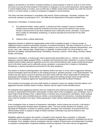applies to all activities in the District, including activities on school property or while en route to or from school, and those occurring off school property if the student or employee is at any school-sponsored, school-approved or school-related activity or function, such as field trips or athletic events where students are under the school's control, in a school vehicle, or where an employee is engaged in school business.

This policy has been developed in consultation with parents, District employees, volunteers, students, and community members as prescribed in R.C. 3313.666 and the State Board of Education's Model Policy.

Harassment, intimidation, or bullying means:

- A. Any intentional written, verbal, graphic, or physical act that a student or group of students exhibits toward another particular student(s) more than once and the behavior both causes mental or physical harm to the other student(s) and is sufficiently severe, persistent, or pervasive that it creates an intimidating, threatening, or abusive educational environment for the other student(s); or
- B. Violence within a dating relationship.

Aggressive behavior is defined as inappropriate conduct that is repeated enough, or serious enough, to negatively impact a student's educational, physical, or emotional well being. This type of behavior is a form of intimidation and harassment, although it need not be based on any of the legally protected characteristics, such as sex, race, color, national origin, marital status, or disability. It would include, but not be limited to, such behaviors as stalking, bullying/cyberbullying, intimidating, menacing, coercion, name-calling, taunting, making threats, and hazing.

Harassment, intimidation, or bullying also means electronically transmitted acts (i.e., internet, e-mail, cellular telephone, personal digital assistant (PDA), or wireless hand-held device) that a student(s) or a group of students exhibits toward another particular student(s) more than once and the behavior both causes mental and physical harm to the other student and is sufficiently severe, persistent, or pervasive that it creates an intimidating, threatening, or abusive educational environment for the other student(s).

Any student or student's parent/guardian who believes she/he has been or is the victim of aggressive behavior should immediately report the situation to the building principal or assistant principal, or the Superintendent. The student may also report concerns to teachers and other school staff who will be responsible for notifying the appropriate administrator or Board official. Complaints against the building principal should be filed with the Superintendent. Complaints against the Superintendent should be filed with the Board President.

Every student is encouraged, and every staff member is required to report any situation that they believe to be aggressive behavior directed toward a student. Reports may be made to those identified above.

All complaints about aggressive behavior that may violate this policy shall be promptly investigated. The building principal or appropriate administrator shall prepare a written report of the investigation upon completion. Such a report shall include findings of fact, a determination of whether acts of harassment, intimidation, and/or bullying were verified, and, when prohibited acts are verified, a recommendation for intervention, including disciplinary action shall be included in the report. Where appropriate, written witness statements shall be attached to the report.

If the investigation finds an instance of harassment, intimidation, and/or bullying has occurred, it will result in prompt and appropriate remedial and/or disciplinary action. This may include expulsion for students, up to discharge for employees, exclusion for parents, guests, volunteers, and contractors, and removal from any official position and/or a request to resign for Board members. Individuals may also be referred to law enforcement officials.

Retaliation against any person who reports, is thought to have reported, files a complaint, or otherwise participates in an investigation or inquiry concerning allegations of aggressive behavior is prohibited and will not be tolerated. Such retaliation shall be considered a serious violation of Board policy and independent of whether a complaint is substantiated. Suspected retaliation should be reported in the same manner as aggressive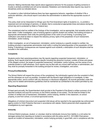behavior. Making intentionally false reports about aggressive behavior for the purpose of getting someone in trouble is similarly prohibited and will not be tolerated. Retaliation and intentionally false reports may result in disciplinary action as indicated above.

If a student or other individual believes there has been aggressive behavior, regardless of whether it fits a particular definition, s/he should report it and allow the administration to determine the appropriate course of action.

This policy shall not be interpreted to infringe upon the First Amendment rights of students (i.e., to prohibit a reasoned and civil exchange of opinions, or debate, that is conducted at appropriate times and places during the school day and is protected by State or Federal law).

The complainant shall be notified of the findings of the investigation, and as appropriate, that remedial action has been taken. If after investigation, acts of bullying against a specific student are verified, the building principal or appropriate administrator shall notify the parent/guardian of the victim of such finding. In providing such notification care shall be taken to respect the statutory privacy rights of the perpetrator of such harassment, intimidation, and/or bullying.

If after investigation, an act of harassment, intimidation, and/or bullying by a specific student is verified, the building principal or appropriate administrator shall notify in writing the parent/guardian of the perpetrator of that finding. If disciplinary consequences are imposed against such students, a description of such discipline shall be included in the notification.

#### **Complaints**

Students and/or their parents/guardians may file reports regarding suspected harassment, intimidation, or bullying. Such reports shall be reasonably specific including the person(s) involved, number of times and places of the alleged conduct, the target of suspected harassment, intimidation, and/or bullying, and the names of any potential student or staff witnesses. Such reports may be filed with any school staff member or administrator, and they shall be promptly forwarded to the building principal for review, investigation, and action.

#### **Privacy/Confidentiality**

The School District will respect the privacy of the complainant, the individual(s) against who the complaint is filed, and the witnesses as much as possible, consistent with the Board's legal obligations to investigate, to take appropriate action, and to conform with any discovery or disclosure obligations. All records generated under this policy and its related administrative guidelines shall be maintained as confidential to the extent permitted by law.

#### **Reporting Requirement**

At least semi-annually, the Superintendent shall provide to the President of the Board a written summary of all reported incidents and post the summary on the District website (if one exists). The list shall be limited to the number of verified acts of harassment, intimidation, and/or bullying, whether in the classroom, on school property, to and from school, or at school-sponsored events.

Allegations of criminal misconduct and suspected child abuse will be reported to the appropriate law enforcement agency and/or to Child Protective Services in accordance with statute. District personnel shall cooperate with investigations by such agencies.

#### **Immunity**

A School District employee, student, or volunteer shall be individually immune from liability in a civil action for damages arising from reporting an incident in accordance with this policy and R.C. 3313.666 if that person reports an incident of harassment, intimidation, and/or bullying promptly, in good faith, and in compliance with the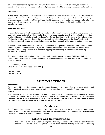procedures specified in this policy. Such immunity from liability shall not apply to an employee, student, or volunteer determined to have made an intentionally false report about harassment, intimidation, and/or bullying.

#### **Notification**

Notice of this policy will be **annually** circulated to and posted in conspicuous locations in all school buildings and departments within the District and discussed with students, as well as incorporated into the teacher, student, and parent/guardian handbooks. State and Federal rights posters on discrimination and harassment shall also be posted at each building. All new hires will be required to review and sign off on this policy and the related complaint procedure.

#### **Education and Training**

In support of this policy, the Board promotes preventative educational measures to create greater awareness of aggressive behavior, including bullying and violence within a dating relationship. The Superintendent or designee shall provide appropriate training to all members of the School District community related to the implementation of this policy and its accompanying administrative guidelines. All training regarding the Board's policy and administrative guidelines and aggressive behavior and bullying in general, will be age and content appropriate.

To the extent that State or Federal funds are appropriated for these purposes, the District shall provide training, workshops, and/or courses on this policy for school employees and volunteers who have direct contact with students. Time spent by school staff in these training programs shall apply toward mandated continuing education requirements.

The Superintendent shall develop administrative guidelines to implement this policy. Guidelines shall include reporting and investigative procedures, as needed. The complaint procedure established by the Superintendent shall be followed.

R.C. 3313.666, 3313.667 State Board of Education Model Policy (2007)

Revised 11/14/07 Revised 11/23/10

## STUDENT SERVICES

#### **Assemblies**

School assemblies will be contracted for the school through the combined effort of the administration and Elementary Staff. Assemblies may take place both in the gymnasium and or cafeteria of each school.

#### **Cafeteria**

The Cafeteria will be open the first day of school. Pupils who carry lunches from home should also use the tables in the cafeteria. All students will be given at least 20 minutes for lunch. All food is to be eaten in the cafeteria. You are to throw away the tray, paper plate and utensils in the trash cans provided. Students are not permitted to bring their own breakfast to school, and eat it in the cafeteria.

## Guidance

The Guidance Office is located in the school office. The services provided to the students are many and varied. Students are urged to take advantage of these services when necessary. Appointments can be made both before school and after school or by parents/guardians.

## Library and Computer Labs

1. The library is available to students during the school day. Most students will have a scheduled time each week to visit the Library. Acceptable use of the library includes studying, homework, and checking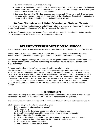out books for research and/or pleasure reading.

- 3. Computers are available for research and word processing. The internet is accessible for students to search for information pertaining to school research projects only. A student login and a parent-signed Student Internet Access Consent Form are required.
- 4. Books are checked out for 15 school days and may be renewed. There are no daily fines, but lost or damaged materials must be paid for at the conclusion of the school year. Students with overdue books cannot check out library materials until the overdue books are returned.

## Student Birthdays and Other Non-School Related Events

In order to avoid hurt feelings, the school will not distribute invitations to personal events such as birthday parties unless the entire class or entire gender of a class is included on the invitation.

No delivery of student gifts (such as balloons, flowers, etc) will be accepted by the school due to the disruption the gift may cause and the limited space in the classrooms and busses.

## BUS RIDING TRANSPORTATION TO SCHOOL

The transportation schedule and routes are available by contacting the District Service Center at (419) 300-1402.

Students may only ride assigned buses and must board and depart from the bus at assigned bus stops. Students will not be permitted to ride unassigned buses for any reason other than an emergency.

The Principal may approve a change in a student's regular assigned bus stop to address a special need, upon the Principal's approval of a note from a parent stating the reason for the request and the duration of the requested change.

A student may be released "on his/her own" only with verified parental permission.

Also, in case of emergency transportation change, the identity of the caller and any custodial arrangements should be confirmed before the child is permitted to leave. If the parent is calling from home, the school can verify the request by a return telephone call. In the event the telephone call is not being made from the child's residence, the caller should be asked detailed questions about the child. These questions might include the child's date of birth, names of teachers and classmates, and similar facts which should be known to his/her parents. Transportation changes for a student should be accompanied by a written notice from parent or guardian. In the event that a note is not received a phone call must be made to verify a transportation change.

## BUS CONDUCT

Students who are riding to and from school on district provided transportation are required to follow all basic safety rules. This applies to school-owned buses as well as any contracted transportation.

The driver may assign seating or direct students in any reasonable manner to maintain transportation safety.

Students must comply with the following basic safety rules:

#### **Prior to Loading (on the road and at school)**

Each student shall:

- 1. Be on time at the designated loading zone prior to the scheduled stop.
- 2. Stay off the road at all times while walking to and waiting for school transportation
- 3. Line up single file off the roadway to enter
- 4. Wait until the school transportation is completely stopped before moving forward to enter
- 5. Refrain from crossing a highway until the driver signals it is safe to cross
- 6. Properly board and depart the vehicle
- 7. Go immediately to a seat and be seated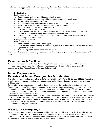It is the parents' responsibility to inform the bus driver when their child will not be aboard school transportation. Drivers will not wait for students who are not at their designated stops on time.

## **During the trip**

Each student shall:

- 1. Remain seated while the school transportation is in motion
- 2. Keep head, hands, arms, and legs inside the school transportation at all times
- 3. Not push, shove or engage in scuffling
- 4. Not litter in the school vehicle or throw anything in, into, or from the vehicle
- 5. Keep books, packages, coats, and all other objects out of the aisle
- 6. Be courteous to the driver and to other students
- 7. Do not eat or play games, cards, etc.
- 8. Do not use nuisance devices (e.g., laser pointers) on the bus in a way that disrupts the safe transportation of students and/or endangers students or employees
- 9. Do not tamper with the school vehicle or any of its equipment (including, but not limited to emergency and/or safety equipment.

#### **Exiting the school vehicle**

Each student shall:

- 1. Remain seated until the vehicle has stopped
- 2. Cross the road, when necessary, at least ten (10) feet in front of the vehicle, but only after the driver signals that it is safe
- 3. Be alert to a possible danger signal from the driver

The driver will not discharge students at places other than their regular stop at home or at school unless he/she has proper authorization from school officials.

## Penalties for Infractions

A student who misbehaves on the bus shall be disciplined in accordance with the Student Discipline Code and may lose the privilege of riding the bus, through a bus suspension. If a student is to be considered for bus suspension, all Due Process Rights will be given to the student.

# Crisis Preparedness:

## Parents and School Emergencies Introduction

The safety and security of our students and staff are top priorities for St Marys City Schools (SMCS). This article explains some of the procedures that have been planned and practiced in the event of an emergency at your child's school.

School administrators work closely with police, fire, emergency services and public health to ensure our Emergency Operations Plan reflects appropriate practices and all schools are prepared for emergencies. Key personnel are trained in National Incident Management System procedures, and SMCS takes an all-hazards approach to emergency readiness. We are prepared to work in partnership with emergency responders should a critical incident occur in one of our schools.

Our comprehensive emergency plan addresses a multitude of potential incidents, not because we expect them to occur, but because we want to be prepared in case they do. For security reasons, specific details are not made available to the public; however, parents and students have a vital role and it is important that you know what to do in an emergency. Please review information in advance of the school year, to make sure you and your child understand the emergency procedures.

## What is an Emergency?

An emergency is any unexpected incident that could possibly put your child's safety at risk. It could be anything from a disruption in utilities to inclement weather and could affect one child, one school, or the entire school district. School officials, and sometimes emergency responders, will evaluate the seriousness of each situation and determine the best action to respond quickly, safely and appropriately.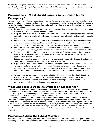Advanced planning and preparation can minimize the risks in any emergency situation. This article offers guidelines for preparedness, what parents should do, and what the school will do in the event of an emergency. Communication procedures and student release procedures are also outlined.

# Preparedness –What Should Parents do to Prepare for an Emergency?

Parents have an invaluable role in preparing their children for emergencies. Listed below are some of the ways you can help them understand that if an emergency occurs at school, teachers and school officials are trained to handle the situation. Reassure them you will be contacted by the school and you will be reunited with them as soon as it is safe to do so.

- Be sure emergency contact information is current and correct. Contact the school secretary immediately whenever your work, home or cell number changes.
- Keep the school nurse informed of any medical conditions or physical limitations your child may have or medications your child may be taking. Provide the necessary medical supplies and medications for daily use.
- Identify who is authorized to pick up your child if you are not able to respond. Make sure their contact information is current and correct. Please understand your child will only be released to parents and persons identified on the emergency contact list. Discuss this information with your child.
- Make sure your child knows their parent or guardian's name, address, and phone numbers. If there is only one parent or guardian, your child should have contact information for a second responsible adult.
- Talk with your child about the importance of remaining calm and following instructions in the event of an emergency. If an emergency occurs while they are at school, their teacher will provide them with appropriate instructions and information.
- Let your child know they could be moved to another location until you can pick them up. Explain the term "relocation" so they are not afraid of being evacuated from their school.
- Explain that cell phones should not be used during an emergency unless directed to do so by a teacher. Texting may be the preferred method of communication. Emergency responders will depend on cell phones for communication. If students and parents are trying to contact each other, cell phone circuits may become overloaded, interfering with the ability of emergency personnel to communicate vital information.
- Whenever you are on school grounds, remain alert to activity in and around the school. Report any suspicious activity to school administration and/or law enforcement so they can investigate.
- Establish a family preparedness plan including a communications plan. This will enable you to communicate with all family members during an emergency.

# WhatWill Schools Do in the Event of an Emergency?

What we do in an emergency depends on the situation and the specifics of the incident. We will make every attempt to ensure that instruction continues, even when it becomes necessary to secure the school. Depending on the severity of the threat or emergency, additional measures may be taken, including sheltering-in-place, evacuating students from the building or closing the school early.

If emergency responders are called to the scene, we will work with them in a unified command to determine which plan should be implemented. School emergency plans vary from school to school, based on school size, building layout and other relevant factors, and are initiated depending on the events unfolding at the time of the incident. While every school has pre-established plans of action, evacuation sites, and family reunification plans, these plans must remain flexible as conditions change. Parents will be informed as soon as we have done everything we can to ensure the safety of students and when it becomes possible to provide accurate and helpful information.

## Protective Actions the School May Use

Each school has an emergency operations plan involving a number of possible actions. The response varies, depending on the conditions and the situations, and is determined by a team trained to make such decisions. It is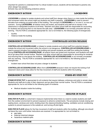important for parents to understand that if a critical incident occurs, students will be dismissed to parents only when danger has passed.

Schools may use the following protective actions:

### EMERGENCY ACTION LOCKDOWN

**LOCKDOWN** is initiated to isolate students and school staff from danger when there is a crisis inside the building and movement within the school might put students and staff in jeopardy. **LOCKDOWN** is used to prevent intruders from entering occupied areas of the building. The concept of **LOCKDOWN** is a "no one in, no one out" scenario. During **LOCKDOWN**, all exterior doors are locked, and students and staff are to remain in the classrooms or designated locations at all times. Teachers and other school staff are responsible for accounting for students and ensuring that no one leaves the safe area. **LOCKDOWN** is not normally preceded with any warning. This ACTION is considered appropriate for, but is not limited to, the following types of emergencies:

- **Gunfire**
- Violence inside the building

#### EMERGENCY ACTION CONTROLLED ACCESS/RELEASE

**CONTROLLED ACCESS/RELEASE** is initiated to isolate students and school staff from potential dangers outside the school and movement within the school is not dangerous. **CONTROLLED ACCESS/RELEASE** is used to prevent intruders from entering the building and prevent students and staff from exiting the building. During **CONTROLLED ACCESS/RELEASE**, all exterior doors are locked and monitored, and students and staff are to go about their normal routine. Teachers and other school staff are responsible for accounting for students and ensuring that no one leaves the building. **CONTROLLED ACCESS/RELEASE** is not normally proceeded with any warning. This ACTION is considered appropriate for, but is not limited to, the following types of emergencies:

• Incident near school that does not pose a danger to students

**CONTROLLED ACCESS/RELEASE** differs from **LOCKDOWN** because it does not require the locking of all classroom doors and it does allow for the free movement of staff and students within the building.

#### EMERGENCY ACTION STAND-BY/STAY PUT

**STAND BY/STAY PUT** is appropriate for all incidents that require hallways, entrances and exits to remain clear. Students and staff are to stay in their classroom and go about their normal routine. This ACTION is considered appropriate for, but is not limited to the following types of incidents:

● Medical situation inside the building.

## EMERGENCY ACTION SHELTER IN PLACE

**SHELTER IN PLACE** is a short-term measure implemented when there is a need to isolate students and staff from the outdoor environment to prevent exposure to airborne contaminants. The procedures include closing and sealing doors, windows and vents; shutting down the classroom/building heating, ventilation and air conditioning systems to prevent exposure to the outside air; and turning off pilot lights.

**SHELTER IN PLACE** allows for the free movement of staff and students within the building, although one should not leave the room until further instructions are received. It is appropriate for, but not limited to:

- gas leaks
- external chemical release
- hazardous material spills.

## EMERGENCY ACTION EVACUATION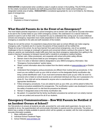**EVACUATION** is implemented when conditions make it unsafe to remain in the building. This ACTION provides for the orderly movement of students and staff along prescribed routes from inside school buildings to a designated outside area of safety. **EVACUATION** is considered appropriate for, but is not limited to, the following types of emergencies:

- **Fire**
- Bomb threat
- Explosion or threat of explosion

## What Should Parents do in the Event of an Emergency?

The most helpful parental responses to a school emergency are to remain calm and wait for accurate information to be sent to the number listed on your child's emergency contact. We understand it is a natural instinct for parents to want to rush to their child. It is important for you to understand that, during such an event, individual schools and emergency responders have made preparations to deal with these incidents. Your cooperation in an emergency is essential to the safe and swift resolution of the incident.

Please do not call the school. It is essential to keep phone lines open so school officials can make outgoing emergency calls. If students are ill or injured, the parents of those students will be notified first. Please do not go to the school. As we have learned from past school emergencies, one of our greatest challenges is how to manage an onslaught of parents and concerned citizens rushing to the scene to "help". By doing so, parents can inadvertently create traffic jams that may block emergency responders from getting to the scene or leaving if necessary to transport injured staff or students to emergency medical facilities.

- Remain calm, follow procedures, and cooperate with school and public safety officials.
- Remain close to the phone listed as your emergency contact number.
- Tune in to radio or television stations designated to carry SMCS emergency information. See "Emergency Communications" section below.
- Obtain current information about the incident from the district website at [www.smriders.net](http://www.smriders.net) or Edulink All Call.
- Understand that emergency pickup procedures are different than routine pick-up procedures. In the event you are notified to pick up your child at school or at the designated family reunification site, bring a photo identification card. If you must send someone else to pick up your child, be sure it is someone who is listed on school records as an authorized individual and they are in possession of a photo ID. Your child will not be released to anyone who is unauthorized or who cannot provide appropriate identification.
- Follow emergency procedures. If you are asked to pick up your child, you will be asked to follow the checkout procedure established for emergencies. The reunification system was developed to ensure the safety of students and it is vital that the procedure be followed.
- Remain in designated areas at the family reunification site.
- Be patient. It is essential that the family reunification procedure be carried out in an orderly manner so we can protect and account for all of our students.

## Emergency Communications – HowWill Parents be Notified if an Incident Occurs at School?

Our first priority is to ensure all students are safe, accounted for, and under adult supervision. As soon as it is possible to do so, the superintendent will communicate information to parents and the community. The school district has a variety of media available to parents which will be updated, as needed, with the most complete and accurate information available.

- 1. Mass notification system
- 2. Individual School Facebook Pages
- 3. School Website [www.smriders.net](http://www.smriders.net)